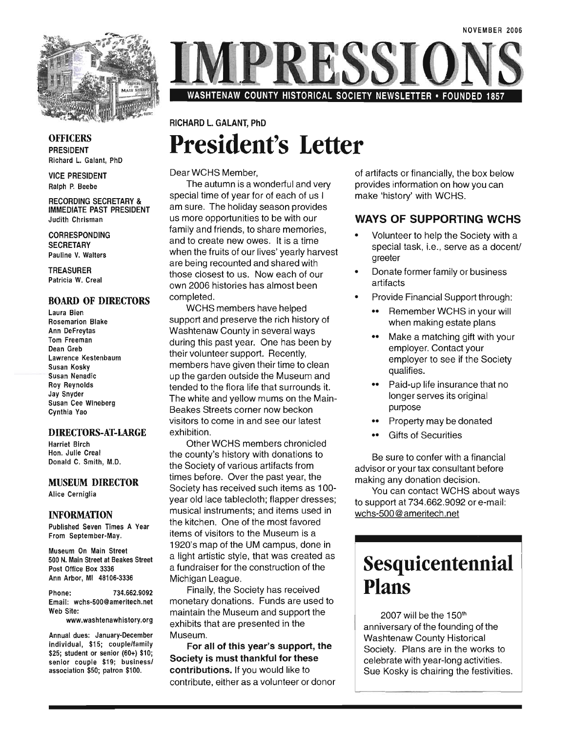

**OFFICERS** PRESIDENT Richard L. Galant, PhD

VICE PRESIDENT Ralph P. Beebe

RECORDING SECRETARY & IMMEDIATE PAST PRESIDENT Judith Chrisman

CORRESPONDING **SECRETARY** Pauline V. Walters

TREASURER Patricia W. Creal

#### BOARD OF DIRECTORS

Laura Bien Rosemarion Blake Ann DeFreytas Tom Freeman Dean Greb Lawrence Kestenbaum Susan Kosky Susan Nenadic Roy Reynolds Jay Snyder Susan Cee Wineberg Cynthia Yao

#### DIRECTORS-AT-LARGE

Harriet Birch Hon. Julie Creal Donald C. Smith, M.D.

#### MUSEUM DIRECTOR

Alice Cerniglia

#### INFORMATION

Published Seven Times A Year From September-May.

Museum On Main Street 500 N. Main Street at Beakes Street Post Office Box 3336 Ann Arbor, MI 48106-3336

Phone: 734.662.9092 Email: wchs-SOO@ameritech.net Web Site:

www.washtenawhistory.org

Annual dues: January-December individual, \$15; couple/family \$25; student or senior (60+) \$10; senior couple \$19; business/ association \$50; patron \$100.

WASHTENAW COUNTY HISTORICAL SOCIETY NEWSLETTER • FOUNDED 1857

### RICHARD L. GALANT, PhD **President's Letter**

Dear WCHS Member,

The autumn is a wonderful and very special time of year for of each of us I am sure. The holiday season provides us more opportunities to be with our family and friends, to share memories, and to create new owes. It is a time when the fruits of our lives' yearly harvest are being recounted and shared with those closest to us. Now each of our own 2006 histories has almost been completed.

WCHS members have helped support and preserve the rich history of Washtenaw County in several ways during this past year. One has been by their volunteer support. Recently, members have given their time to clean up the garden outside the Museum and tended to the flora life that surrounds it. The white and yellow mums on the Main-Beakes Streets corner now beckon visitors to come in and see our latest exhibition.

Other WCHS members chronicled the county's history with donations to the Society of various artifacts from times before. Over the past year, the Society has received such items as 100year old lace tablecloth; flapper dresses; musical instruments; and items used in the kitchen. One of the most favored items of visitors to the Museum is a 1920's map of the UM campus, done in a light artistic style, that was created as a fundraiser for the construction of the Michigan League.

Finally, the Society has received monetary donations. Funds are used to maintain the Museum and support the exhibits that are presented in the Museum.

For all of this year's support, the Society is must thankful for these contributions. If you would like to contribute, either as a volunteer or donor of artifacts or financially, the box below provides information on how you can make 'history' with WCHS.

#### WAYS OF SUPPORTING WCHS

- Volunteer to help the Society with a special task, i.e., serve as a docent/ greeter
- Donate former family or business artifacts
- Provide Financial Support through:
	- •• Remember WCHS in your will when making estate plans
	- •• Make a matching gift with your employer. Contact your employer to see if the Society qualifies.
	- •• Paid-up life insurance that no longer serves its original purpose
	- •• Property may be donated
	- •• Gifts of Securities

Be sure to confer with a financial advisor or your tax consultant before making any donation decision.

You can contact WCHS about ways to support at 734.662.9092 or e-mail: wchs-500@ameritech.net

### **Sesquicentennial Plans**

2007 will be the 150<sup>th</sup> anniversary of the founding of the Washtenaw County Historical Society. Plans are in the works to celebrate with year-long activities. Sue Kosky is chairing the festivities.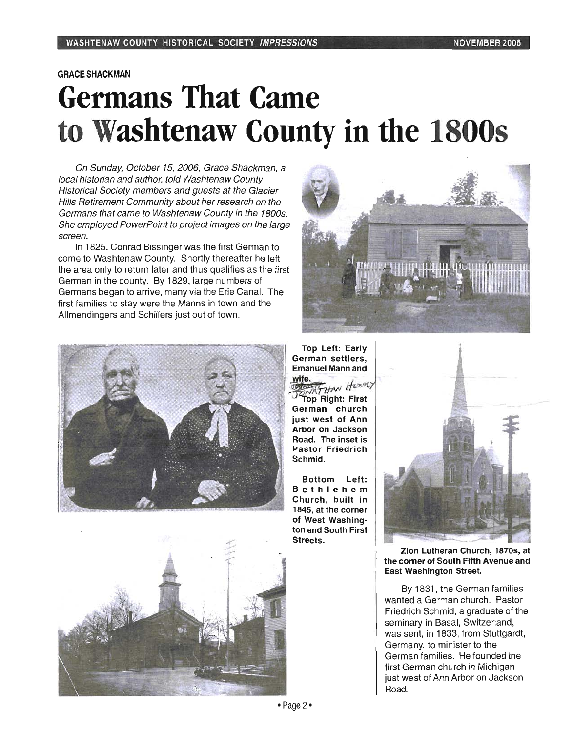#### GRACESHACKMAN

# **Germans That Came to Washtenaw County in the 1800s**

On Sunday, October 15, 2006, Grace Shackman, a local historian and author, told Washtenaw County Historical Society members and guests at the Glacier Hills Retirement Community about her research on the Germans that came to Washtenaw County in the 1800s. She employed PowerPoint to project images on the large screen.

In 1825, Conrad Bissinger was the first German to come to Washtenaw County. Shortly thereafter he left the area only to return later and thus qualifies as the first German in the county. By 1829, large numbers of Germans began to arrive, many via the Erie Canal. The first families to stay were the Manns in town and the Allmendingers and Schillers just out of town.









Bottom Left: Bet hl ehem Church, built in 1845, at the corner of West Washington and South First Streets.



Zion Lutheran Church, 1870s, at the corner of South Fifth Avenue and East Washington Street.

By 1831 , the German families wanted a German church. Pastor Friedrich Schmid, a graduate of the seminary in Basal, Switzerland, was sent, in 1833, from Stuttgardt, Germany, to minister to the German families. He founded the first German church in Michigan just west of Ann Arbor on Jackson Road.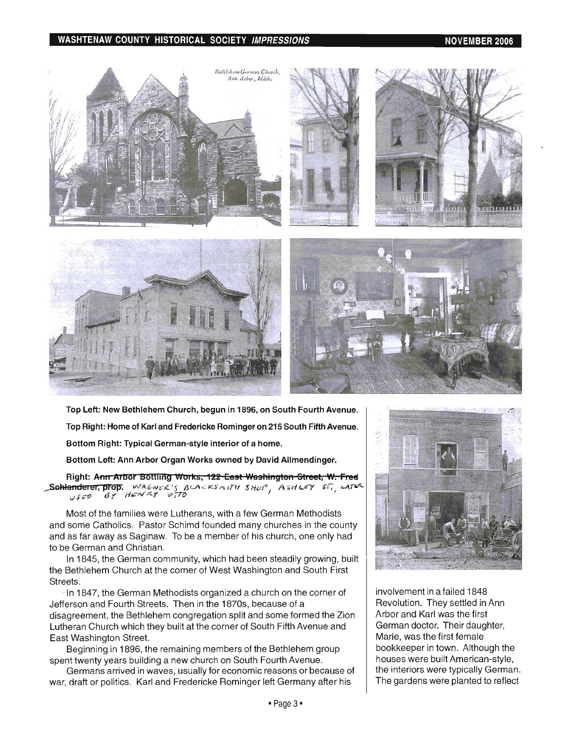#### **WASHTENAW COUNTY HISTORICAL SOCIETY** *IMPRESSIONS* $\overline{a}$  **and**  $\overline{b}$  **and**  $\overline{b}$  **and**  $\overline{b}$  **and**  $\overline{b}$  **and**  $\overline{b}$  **and**  $\overline{b}$  **and**  $\overline{b}$  **and**  $\overline{b}$  **and**  $\overline{b}$  **and**  $\overline{b}$  **and**  $\overline{b}$  **and**  $\overline{b}$  **and \**



**Top Left: New Bethlehem Church, begun in 1896, on South Fourth Avenue. Top Right: Home of Karl and Fredericke Rominger on 215 South Fifth Avenue. Bottom Right: Typical German-style interior of a home.** 

**Bottom Left: Ann Arbor Organ Works owned by David Allmendinger.** 

**Right: Ann Arbor Bottling Works, 122 East Washington Street, W. Fred** SGHanderer, prop. WA*6NUR*'S BLACKSMITH SHUP, ASHLEY ST., LATER vfOTf) **8'1** /'f~N~Y o m

Most of the families were Lutherans, with a few German Methodists and some Catholics. Pastor Schimd founded many churches in the county and as far away as Saginaw. To be a member of his church, one only had to be German and Christian.

In 1845, the German community, which had been steadily growing, built the Bethlehem Church at the corner of West Washington and South First Streets.

-In 1847, the German Methodists organized a church on the corner of Jefferson and Fourth Streets. Then in the 1870s, because of a disagreement, the Bethlehem congregation split and some formed the Zion Lutheran Church which they built at the corner of South Fifth Avenue and East Washington Street.

Beginning in 1896, the remaining members of the Bethlehem group spent twenty years building a new church on South Fourth Avenue.

Germans arrived in waves, usually for economic reasons or because of war, draft or politics. Karl and Fredericke Rominger left Germany after his



involvement in a failed 1848 Revolution. They settled in Ann Arbor and Karl was the first German doctor. Their daughter, Marie, was the first female bookkeeper in town. Although the houses were built American-style, the interiors were typically German. The gardens were planted to reflect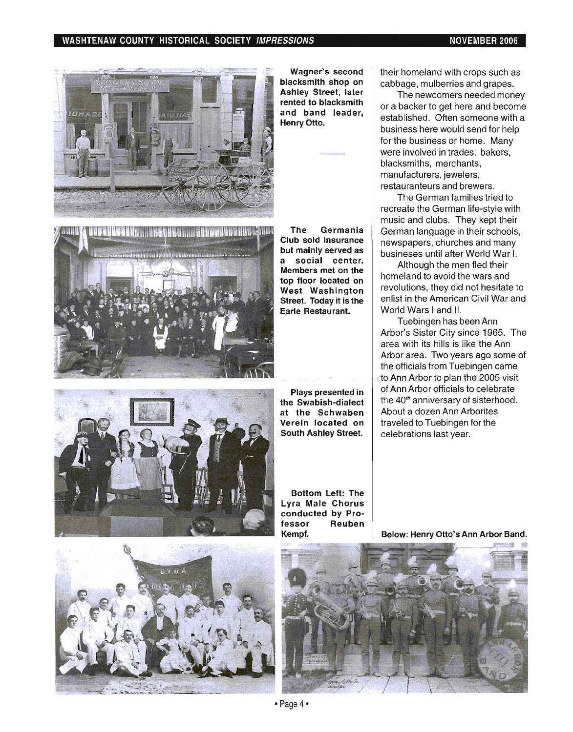#### WASHTENAW COUNTY HISTORICAL SOCIETY IMPRESSIONS NOTED THE RESOLUTION ON A RESOLUTION OF MELONE RESOLUTION OF R



Wagner's second blacksmith shop on Ashley Street, later rented to blacksmith and band leader, . Henry Otto.

The Germania gan iyay ke ama bayan mashiyahiya huga tun Club sold insurance but mainly served as a social center. Members met on the top floor located on West Washington Street. Today it is the Earle Restaurant.



Plays presented in the Swabish-dialect at the Schwaben Verein located on South Ashley Street.

their homeland with crops such as cabbage, mulberries and grapes.

The newcomers needed money or a backer to get here and become established. Often someone with a business here would send for help for the business or home. Many were involved in trades: bakers, blacksmiths, merchants, manufacturers, jewelers, restauranteurs and brewers.

The German families tried to recreate the German life-style with music and clubs. They kept their German language in their schools, newspapers, churches and many busineses until after World War I.

Although the men fled their homeland to avoid the wars and revolutions, they did not hesitate to enlist in the American Civil War and World Wars I and II.

Tuebingen has been Ann Arbor's Sister City since 1965. The area with its hills is like the Ann Arbor area. Two years ago some of the officials from Tuebingen came to Ann Arbor to plan the 2005 visit of Ann Arbor officials to celebrate the 40<sup>th</sup> anniversary of sisterhood. About a dozen Ann Arborites traveled to Tuebingen for the celebrations last year.



Bottom Left: The Lyra Male Chorus conducted by Professor Reuben Kempf.

Below: Henry Otto's Ann Arbor Band.

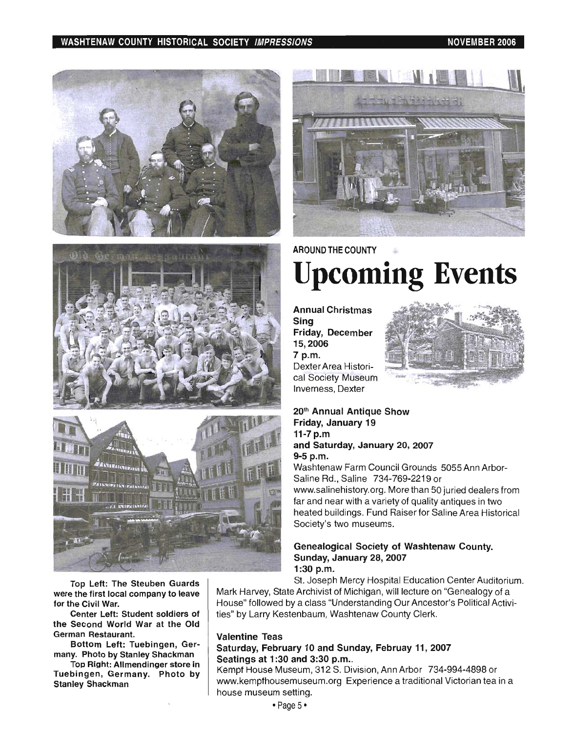#### WASHTENAW COUNTY HISTORICAL SOCIETY *IMPRESSIONS* NOVEMBER 2006 NOVEMBER 2006







Top Left: The Steuben Guards were the first local company to leave for the Civil War.

Center Left: Student soldiers of the Second World War at the Old German Restaurant.

Bottom Left: Tuebingen, Germany. Photo by Stanley Shackman

Top Right: Allmendinger store in Tuebingen, Germany. Photo by Stanley Shackman



## AROUND THE COUNTY **Upcoming Events**

Annual Christmas Sing Friday, December 15,2006 7 p.m. Dexter Area Historical Society Museum Inverness, Dexter



20th Annual Antique Show Friday, January 19 11-7 p.m and Saturday, January 20, 2007 9-5 p.m.

Washtenaw Farm Council Grounds 5055 Ann Arbor-Saline Rd., Saline 734-769-2219 or www.salinehistory.org. More than 50 juried dealers from far and near with a variety of quality antiques in two heated buildings. Fund Raiser for Saline Area Historical Society's two museums.

#### Genealogical Society of Washtenaw County. Sunday, January 28, 2007 1:30 p.m.

St. Joseph Mercy Hospital Education Center Auditorium.

Mark Harvey, State Archivist of Michigan, will lecture on "Genealogy of a House" followed by a class "Understanding Our Ancestor's Political Activities" by Larry Kestenbaum, Washtenaw County Clerk.

#### Valentine Teas

#### Saturday, February 10 and Sunday, Februay **11,** 2007 Seatings at 1:30 and 3:30 p.m..

Kempf House Museum, 312 S. Division, Ann Arbor 734-994-4898 or www.kempfhousemuseum.org Experience a traditional Victorian tea in a house museum setting.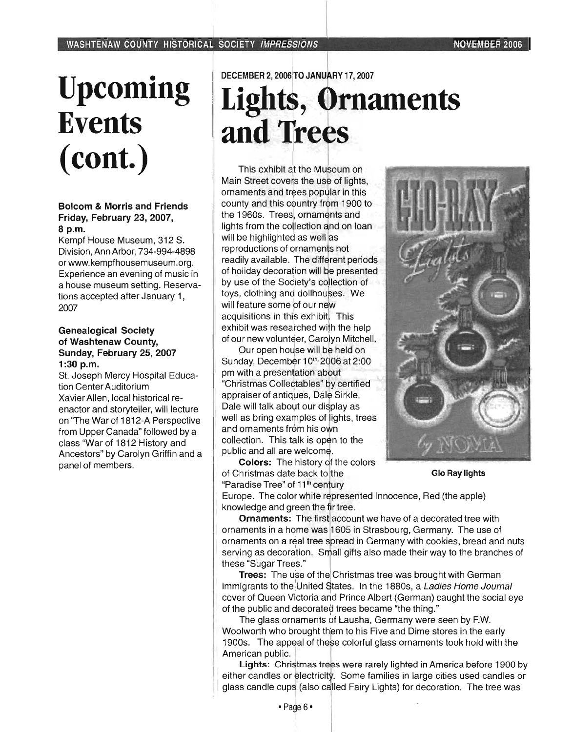# Upcoming **Events**  (cont.)

#### Bolcom & Morris and Friends Friday, February 23,2007, 8 p.m.

Kempf House Museum, 312 S. Division, Ann Arbor, 734-994-4898 or www.kempfhousemuseum.org. Experience an evening of music in a house museum setting. Reservations accepted after January 1, 2007

#### Genealogical Society of Washtenaw County, Sunday, February 25, 2007 1:30 p.m.

St. Joseph Mercy Hospital Education Center Auditorium Xavier Allen, local historical reenactor and storyteller, will lecture on 'The War of 1812-A Perspective from Upper Canada" followed by a class "War of 1812 History and Ancestors" by Carolyn Griffin and a panel of members.

#### DECEMBER 2, 2006 TO JANUARY 17, 2007

# **Lights, Ornaments** and Trees

This exhibit at the Museum on Main Street covers the use of lights, ornaments and trees popular in this county and this country from 1900 to the 1960s. Trees, ornaments and lights from the collection and on loan will be highlighted as well as reproductions of ornaments not readily available. The different periods of holiday decoration will be presented by use of the Society's collection of toys, clothing and dollhouses. We will feature some of our new acquisitions in this exhibit. This exhibit was researched with the help of our new volunteer, Carolyn Mitchell.

Our open house will be held on Sunday, December 10th<sub></sub> 2006 at 2:00 pm with a presentation about "Christmas Collectables" by certified appraiser of antiques, Dale Sirkle. Dale will talk about our display as well as bring examples of lights, trees and ornaments from his own collection. This talk is open to the public and all are welcome.

Colors: The history of the colors of Christmas date back to the Glo Ray lights "Paradise Tree" of 11<sup>th</sup> century



Europe. The color white represented Innocence, Red (the apple) knowledge and green the fir tree.

Ornaments: The first account we have of a decorated tree with ornaments in a home was 1605 in Strasbourg, Germany. The use of ornaments on a real tree spread in Germany with cookies, bread and nuts serving as decoration. Small gifts also made their way to the branches of hese "Sugar Trees."

Trees: The use of the Christmas tree was brought with German immigrants to the United States. In the 1880s, a Ladies Home Journal cover of Queen Victoria and Prince Albert (German) caught the social eye of the public and decorated trees became "the thing."

The glass ornaments of Lausha, Germany were seen by F.W. Woolworth who brought them to his Five and Dime stores in the early 1900s. The appeal of these colorful glass ornaments took hold with the American public.

Lights: Christmas trees were rarely lighted in America before 1900 by either candles or electricity. Some families in large cities used candles or dass candle cups (also called Fairy Lights) for decoration. The tree was l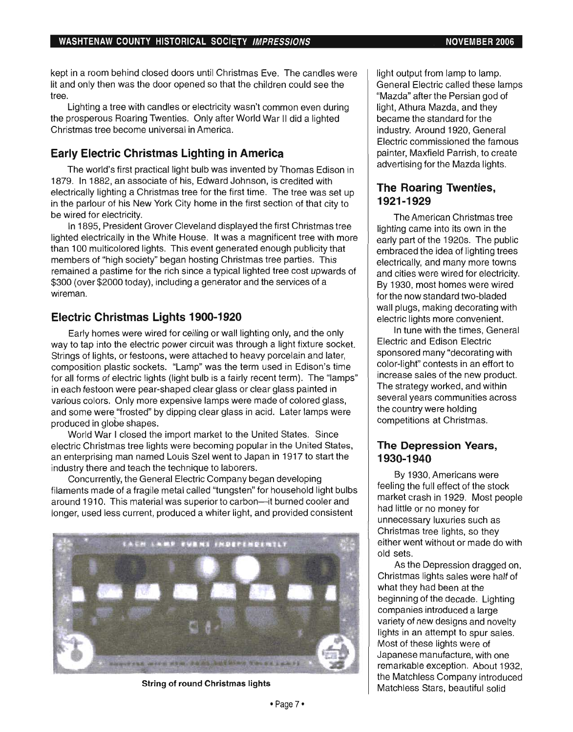kept in a room behind closed doors until Christmas Eve. The candles were lit and only then was the door opened so that the children could see the tree.

Lighting a tree with candles or electricity wasn't common even during the prosperous Roaring Twenties. Only after World War II did a lighted Christmas tree become universal in America.

### Early Electric Christmas Lighting in America

The world's first practical light bulb was invented by Thomas Edison in 1879. In 1882, an associate of his, Edward Johnson, is credited with electrically lighting a Christmas tree for the first time. The tree was set up in the parlour of his New York City home in the first section of that city to be wired for electricity.

In 1895, President Grover Cleveland displayed the first Christmas tree lighted electrically in the White House. It was a magnificent tree with more than 100 multicolored lights. This event generated enough publicity that members of "high society" began hosting Christmas tree parties. This remained a pastime for the rich since a typical lighted tree cost upwards of \$300 (over \$2000 today), including a generator and the services of a wireman.

#### Electric Christmas Lights 1900-1920

Early homes were wired for ceiling or wall lighting only, and the only way to tap into the electric power circuit was through a light fixture socket. Strings of lights, or festoons, were attached to heavy porcelain and later, composition plastic sockets. "Lamp" was the term used in Edison's time for all forms of electric lights (light bulb is a fairly recent term). The "lamps" in each festoon were pear-shaped clear glass or clear glass painted in various colors. Only more expensive lamps were made of colored glass, and some were "frosted" by dipping clear glass in acid. Later lamps were produced in globe shapes.

World War I closed the import market to the United States. Since electric Christmas tree lights were becoming popular in the United States, an enterprising man named Louis Szel went to Japan in 1917 to start the industry there and teach the technique to laborers.

Concurrently, the General Electric Company began developing filaments made of a fragile metal called "tungsten" for household light bulbs around 1910. This material was superior to carbon-it burned cooler and longer, used less current, produced a whiter light, and provided consistent



String of round Christmas lights

light output from lamp to lamp. General Electric called these lamps "Mazda" after the Persian god of light, Athura Mazda, and they became the standard for the industry. Around 1920, General Electric commissioned the famous painter, Maxfield Parrish, to create advertising for the Mazda lights.

#### The Roaring Twenties, 1921-1929

The American Christmas tree lighting came into its own in the early part of the 1920s. The public embraced the idea of lighting trees electrically, and many more towns and cities were wired for electricity. By 1930, most homes were wired for the now standard two-bladed wall plugs, making decorating with electric lights more convenient.

In tune with the times, General Electric and Edison Electric sponsored many "decorating with color-light" contests in an effort to increase sales of the new product. The strategyworked, and within several years communities across the country were holding competitions at Christmas.

#### The Depression Years, 1930-1940

By 1930, Americans were feeling the full effect of the stock market crash in 1929. Most people had little or no money for unnecessary luxuries such as Christmas tree lights, so they either went without or made do with old sets.

As the Depression dragged on, Christmas lights sales were half of what they had been at the beginning of the decade. Lighting companies introduced a large variety of new designs and novelty lights in an attempt to spur sales. Most of these lights were of Japanese manufacture, with one remarkable exception. About 1932, the Matchless Company introduced Matchless Stars, beautiful solid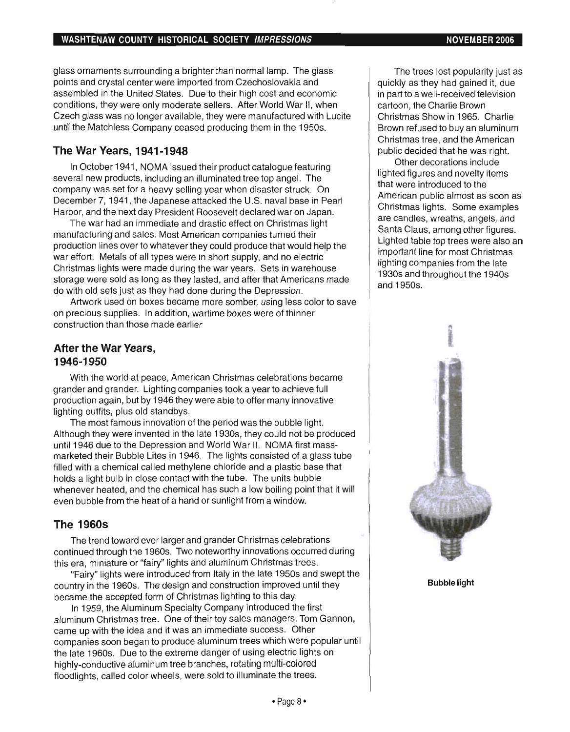glass ornaments surrounding a brighter than normal lamp. The glass points and crystal center were imported from Czechoslovakia and assembled in the United States. Due to their high cost and economic conditions, they were only moderate sellers. After World War II, when Czech glass was no longer available, they were manufactured with Lucite until the Matchless Company ceased producing them in the 1950s.

### **The War Years, 1941-1948**

In October 1941 , NOMA issued their product catalogue featuring several new products, including an illuminated tree top angel. The company was set for a heavy selling year when disaster struck. On December 7, 1941 , the Japanese attacked the U.S. naval base in Pearl Harbor, and the next day President Roosevelt declared war on Japan.

The war had an immediate and drastic effect on Christmas light manufacturing and sales. Most American companies turned their production lines over to whatever they could produce that would help the war effort. Metals of all types were in short supply, and no electric Christmas lights were made during the war years. Sets in warehouse storage were sold as long as they lasted, and after that Americans made do with old sets just as they had done during the Depression.

Artwork used on boxes became more somber, using less color to save on precious supplies. In addition, wartime boxes were of thinner construction than those made earlier

#### **After the War Years, 1946-1950**

With the world at peace, American Christmas celebrations became grander and grander. Lighting companies took a year to achieve full production again, but by 1946 they were able to offer many innovative lighting outfits, plus old standbys.

The most famous innovation of the period was the bubble light. Although they were invented in the late 1930s, they could not be produced until 1946 due to the Depression and World War II. NOMA first massmarketed their Bubble Lites in 1946. The lights consisted of a glass tube filled with a chemical called methylene chloride and a plastic base that holds a light bulb in close contact with the tube. The units bubble whenever heated, and the chemical has such a low boiling point that it will even bubble from the heat of a hand or sunlight from a window.

### **The 19605**

The trend toward ever larger and grander Christmas celebrations continued through the 1960s. Two noteworthy innovations occurred during this era, miniature or "fairy" lights and aluminum Christmas trees.

"Fairy" lights were introduced from Italy in the late 1950s and swept the country in the 1960s. The design and construction improved until they became the accepted form of Christmas lighting to this day.

In 1959, the Aluminum Specialty Company introduced the first aluminum Christmas tree. One of their toy sales managers, Tom Gannon, came up with the idea and it was an immediate success. Other companies soon began to produce aluminum trees which were popular until the late 1960s. Due to the extreme danger of using electric lights on highly-conductive aluminum tree branches, rotating multi-colored floodlights, called color wheels, were sold to illuminate the trees.

The trees lost popularity just as quickly as they had gained it, due in part to a well-received television cartoon, the Charlie Brown Christmas Show in 1965. Charlie Brown refused to buy an aluminum Christmas tree, and the American public decided that he was right.

Other decorations include lighted figures and novelty items that were introduced to the American public almost as soon as Christmas lights. Some examples are candles, wreaths, angels, and Santa Claus, among other figures. Lighted table top trees were also an important line for most Christmas lighting companies from the late 1930s and throughout the 1940s and 1950s.



Bubble light